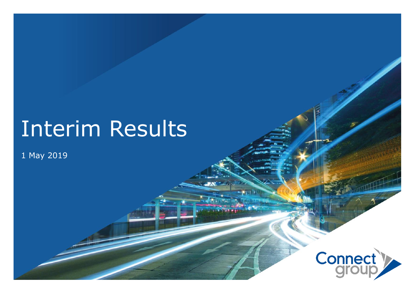# Interim Results

#### 1 May 2019

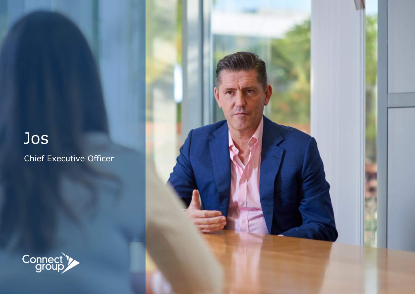## Jos

Chief Executive Officer



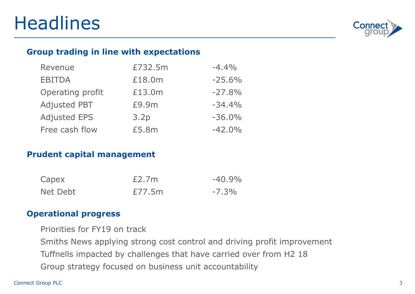

#### **Group trading in line with expectations**

| Revenue             | £732.5m | $-4.4%$  |
|---------------------|---------|----------|
| <b>EBITDA</b>       | £18.0m  | $-25.6%$ |
| Operating profit    | £13.0m  | $-27.8%$ |
| <b>Adjusted PBT</b> | £9.9m   | $-34.4%$ |
| <b>Adjusted EPS</b> | 3.2p    | $-36.0%$ |
| Free cash flow      | £5.8m   | $-42.0%$ |

#### **Prudent capital management**

| Capex    | E2.7m  | $-40.9\%$ |
|----------|--------|-----------|
| Net Debt | £77.5m | $-7.3\%$  |

#### **Operational progress**

Priorities for FY19 on track

Smiths News applying strong cost control and driving profit improvement Tuffnells impacted by challenges that have carried over from H2 18 Group strategy focused on business unit accountability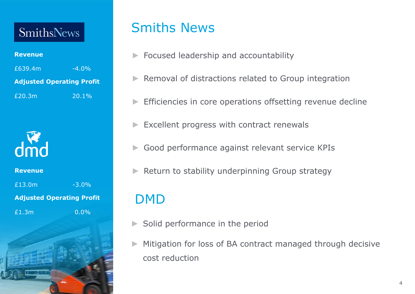### SmithsNews

#### **Revenue**

| £639.4m | $-4.0\%$                         |  |  |  |
|---------|----------------------------------|--|--|--|
|         | <b>Adjusted Operating Profit</b> |  |  |  |
| £20.3m  | $120.1\%$                        |  |  |  |



**Revenue** £13.0m  $-3.0\%$ **Adjusted Operating Profit** £1.3m 0.0%

### Smiths News

- ► Focused leadership and accountability
- ► Removal of distractions related to Group integration
- Efficiencies in core operations offsetting revenue decline
- Excellent progress with contract renewals
- Good performance against relevant service KPIs
- Return to stability underpinning Group strategy

### DMD

- Solid performance in the period
- Mitigation for loss of BA contract managed through decisive cost reduction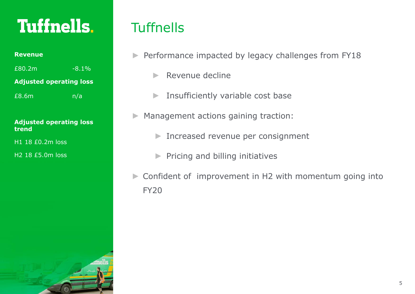## **Tuffnells**.

| Revenue |  |
|---------|--|
|         |  |

 $£80.2m$   $-8.1%$ 

**Adjusted operating loss**

£8.6m n/a

#### **Adjusted operating loss trend**

H1 18 £0.2m loss

H2 18 £5.0m loss

### **Tuffnells**

- ► Performance impacted by legacy challenges from FY18
	- $\blacktriangleright$  Revenue decline
	- ► Insufficiently variable cost base
- Management actions gaining traction:
	- ► Increased revenue per consignment
	- ► Pricing and billing initiatives
- ► Confident of improvement in H2 with momentum going into FY20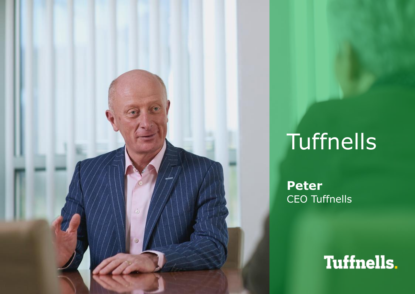

# **Tuffnells**

**Peter**  CEO Tuffnells

## **Tuffnells**.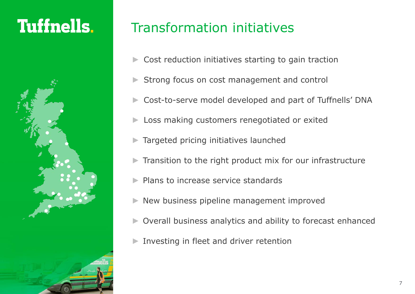## **Tuffnells**.



### Transformation initiatives

- Cost reduction initiatives starting to gain traction
- Strong focus on cost management and control
- Cost-to-serve model developed and part of Tuffnells' DNA
- Loss making customers renegotiated or exited
- Targeted pricing initiatives launched
- Transition to the right product mix for our infrastructure
- Plans to increase service standards
- New business pipeline management improved
- Overall business analytics and ability to forecast enhanced
- Investing in fleet and driver retention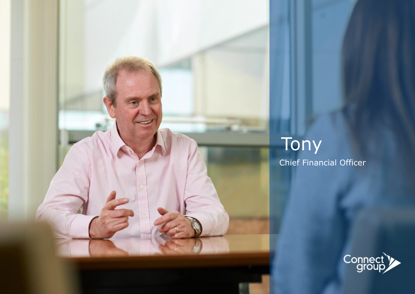

## Tony Chief Financial Officer

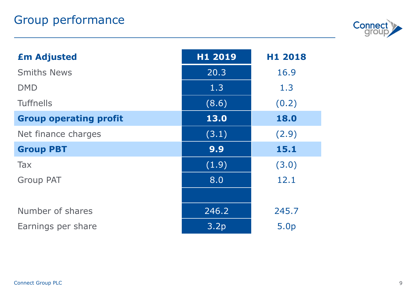

| <b>£m Adjusted</b>            | H1 2019 | H1 2018 |
|-------------------------------|---------|---------|
| <b>Smiths News</b>            | 20.3    | 16.9    |
| <b>DMD</b>                    | 1.3     | 1.3     |
| <b>Tuffnells</b>              | (8.6)   | (0.2)   |
| <b>Group operating profit</b> | 13.0    | 18.0    |
| Net finance charges           | (3.1)   | (2.9)   |
| <b>Group PBT</b>              | 9.9     | 15.1    |
| Tax                           | (1.9)   | (3.0)   |
| <b>Group PAT</b>              | 8.0     | 12.1    |
|                               |         |         |
| Number of shares              | 246.2   | 245.7   |
| Earnings per share            | 3.2p    | 5.0p    |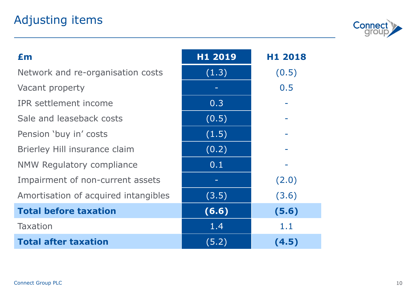### Adjusting items



| Em                                   | H1 2019 | H1 2018 |
|--------------------------------------|---------|---------|
| Network and re-organisation costs    | (1.3)   | (0.5)   |
| Vacant property                      |         | 0.5     |
| <b>IPR</b> settlement income         | 0.3     |         |
| Sale and leaseback costs             | (0.5)   |         |
| Pension 'buy in' costs               | (1.5)   |         |
| Brierley Hill insurance claim        | (0.2)   |         |
| NMW Regulatory compliance            | 0.1     |         |
| Impairment of non-current assets     |         | (2.0)   |
| Amortisation of acquired intangibles | (3.5)   | (3.6)   |
| <b>Total before taxation</b>         | (6.6)   | (5.6)   |
| <b>Taxation</b>                      | 1.4     | 1.1     |
| <b>Total after taxation</b>          | (5.2)   | (4.5)   |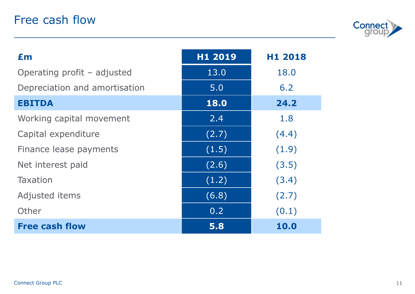

| £m                            | H1 2019 | H1 2018     |
|-------------------------------|---------|-------------|
| Operating profit – adjusted   | 13.0    | 18.0        |
| Depreciation and amortisation | 5.0     | 6.2         |
| <b>EBITDA</b>                 | 18.0    | 24.2        |
| Working capital movement      | 2,4     | 1.8         |
| Capital expenditure           | (2.7)   | (4.4)       |
| Finance lease payments        | (1.5)   | (1.9)       |
| Net interest paid             | (2.6)   | (3.5)       |
| <b>Taxation</b>               | (1.2)   | (3.4)       |
| Adjusted items                | (6.8)   | (2.7)       |
| Other                         | 0.2     | (0.1)       |
| <b>Free cash flow</b>         | 5.8     | <b>10.0</b> |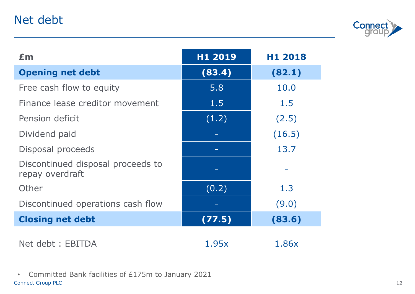### Net debt



| £m                                                   | H1 2019 | H1 2018 |
|------------------------------------------------------|---------|---------|
| <b>Opening net debt</b>                              | (83.4)  | (82.1)  |
| Free cash flow to equity                             | 5.8     | 10.0    |
| Finance lease creditor movement                      | 1.5     | 1.5     |
| Pension deficit                                      | (1.2)   | (2.5)   |
| Dividend paid                                        |         | (16.5)  |
| Disposal proceeds                                    |         | 13.7    |
| Discontinued disposal proceeds to<br>repay overdraft |         |         |
| Other                                                | (0.2)   | 1.3     |
| Discontinued operations cash flow                    |         | (9.0)   |
| <b>Closing net debt</b>                              | (77.5)  | (83.6)  |
| Net debt : EBITDA                                    | 1.95x   | 1.86x   |

Connect Group PLC • Committed Bank facilities of £175m to January 2021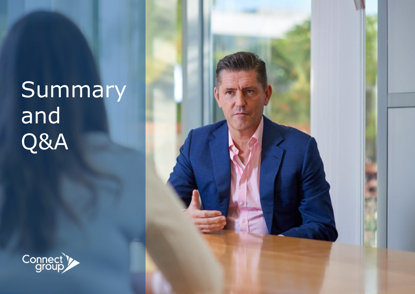# Summary and Q&A



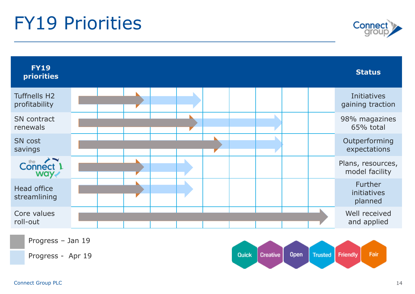## FY19 Priorities



| <b>FY19</b><br>priorities                   |  |  |  |  | <b>Status</b>                       |
|---------------------------------------------|--|--|--|--|-------------------------------------|
| <b>Tuffnells H2</b><br>profitability        |  |  |  |  | Initiatives<br>gaining traction     |
| SN contract<br>renewals                     |  |  |  |  | 98% magazines<br>65% total          |
| <b>SN</b> cost<br>savings                   |  |  |  |  | Outperforming<br>expectations       |
| Connect <sup>1</sup><br>way <sub>&lt;</sub> |  |  |  |  | Plans, resources,<br>model facility |
| Head office<br>streamlining                 |  |  |  |  | Further<br>initiatives<br>planned   |
| Core values<br>roll-out                     |  |  |  |  | Well received<br>and applied        |
| Progress - Jan 19                           |  |  |  |  |                                     |

Progress - Apr 19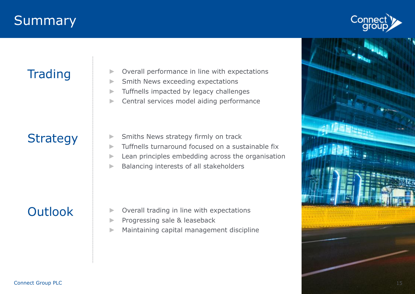### **Summary**



### **Trading**

- Overall performance in line with expectations
- ► Smith News exceeding expectations
- ► Tuffnells impacted by legacy challenges
- ► Central services model aiding performance

### **Strategy**

- ► Smiths News strategy firmly on track
- $\blacktriangleright$  Tuffnells turnaround focused on a sustainable fix
- ► Lean principles embedding across the organisation
- ► Balancing interests of all stakeholders

### **Outlook**

- Overall trading in line with expectations
- ► Progressing sale & leaseback
- ► Maintaining capital management discipline